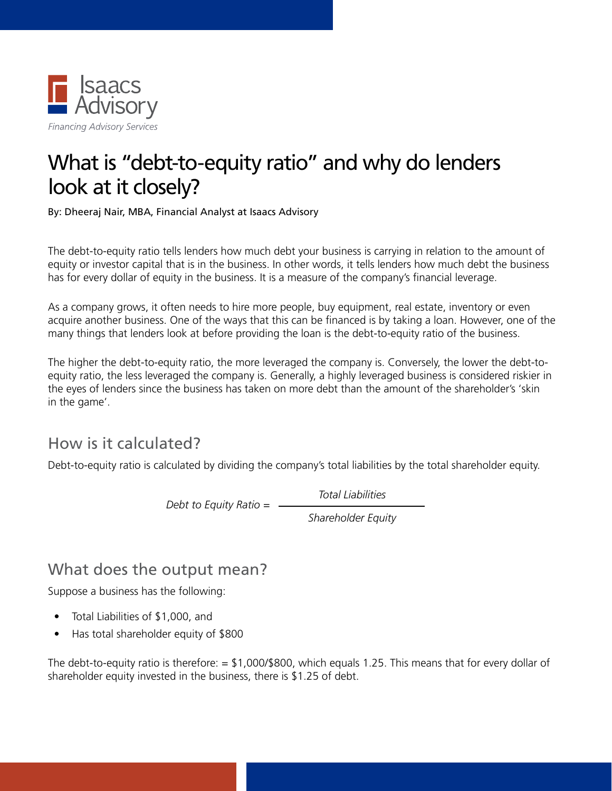

## What is "debt-to-equity ratio" and why do lenders look at it closely?

By: Dheeraj Nair, MBA, Financial Analyst at Isaacs Advisory

The debt-to-equity ratio tells lenders how much debt your business is carrying in relation to the amount of equity or investor capital that is in the business. In other words, it tells lenders how much debt the business has for every dollar of equity in the business. It is a measure of the company's financial leverage.

As a company grows, it often needs to hire more people, buy equipment, real estate, inventory or even acquire another business. One of the ways that this can be financed is by taking a loan. However, one of the many things that lenders look at before providing the loan is the debt-to-equity ratio of the business.

The higher the debt-to-equity ratio, the more leveraged the company is. Conversely, the lower the debt-toequity ratio, the less leveraged the company is. Generally, a highly leveraged business is considered riskier in the eyes of lenders since the business has taken on more debt than the amount of the shareholder's 'skin in the game'.

## How is it calculated?

Debt-to-equity ratio is calculated by dividing the company's total liabilities by the total shareholder equity.

*Total Liabilities*

*Debt to Equity Ratio =*

*Shareholder Equity*

## What does the output mean?

Suppose a business has the following:

- Total Liabilities of \$1,000, and
- Has total shareholder equity of \$800

The debt-to-equity ratio is therefore:  $= $1,000/ $800$ , which equals 1.25. This means that for every dollar of shareholder equity invested in the business, there is \$1.25 of debt.